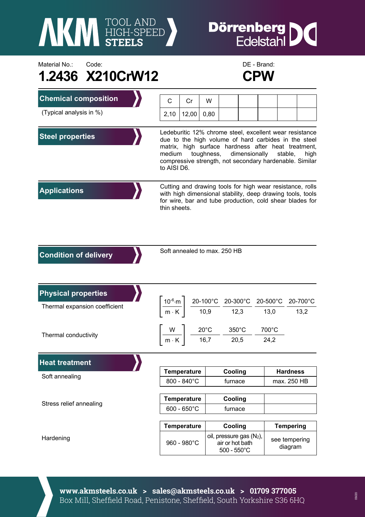

## **Dörrenberg**<br>Edelstahl I

Material No.: Code: Code: Code: DE - Brand: **1.2436 X210CrW12 CPW** 



| <b>Chemical composition</b>   | C                                                                                                                                                                                                                                                                                                            | Cr                    | W    |                                                                                                                                                                     |  |  |                            |  |                  |
|-------------------------------|--------------------------------------------------------------------------------------------------------------------------------------------------------------------------------------------------------------------------------------------------------------------------------------------------------------|-----------------------|------|---------------------------------------------------------------------------------------------------------------------------------------------------------------------|--|--|----------------------------|--|------------------|
| (Typical analysis in %)       | 2,10                                                                                                                                                                                                                                                                                                         | 12,00                 | 0,80 |                                                                                                                                                                     |  |  |                            |  |                  |
|                               |                                                                                                                                                                                                                                                                                                              |                       |      |                                                                                                                                                                     |  |  |                            |  |                  |
| <b>Steel properties</b>       | Ledeburitic 12% chrome steel, excellent wear resistance<br>due to the high volume of hard carbides in the steel<br>matrix, high surface hardness after heat treatment,<br>toughness,<br>dimensionally<br>medium<br>stable,<br>high<br>compressive strength, not secondary hardenable. Similar<br>to AISI D6. |                       |      |                                                                                                                                                                     |  |  |                            |  |                  |
| <b>Applications</b>           | Cutting and drawing tools for high wear resistance, rolls<br>with high dimensional stability, deep drawing tools, tools<br>for wire, bar and tube production, cold shear blades for<br>thin sheets.                                                                                                          |                       |      |                                                                                                                                                                     |  |  |                            |  |                  |
| <b>Condition of delivery</b>  | Soft annealed to max. 250 HB                                                                                                                                                                                                                                                                                 |                       |      |                                                                                                                                                                     |  |  |                            |  |                  |
| <b>Physical properties</b>    |                                                                                                                                                                                                                                                                                                              |                       |      |                                                                                                                                                                     |  |  |                            |  |                  |
| Thermal expansion coefficient |                                                                                                                                                                                                                                                                                                              |                       |      | $\left.\frac{10^{-6}\text{ m}}{\text{m} \cdot \text{K}}\right  \left.\frac{20\text{-}100^{\circ}\text{C}}{10,9} \right. \frac{20\text{-}300^{\circ}\text{C}}{12,3}$ |  |  | $20-500^{\circ}$ C<br>13,0 |  | 20-700°C<br>13,2 |
| Thermal conductivity          |                                                                                                                                                                                                                                                                                                              |                       |      | $\left\lceil \frac{W}{m \cdot K} \right\rceil \frac{20^{\circ}C}{16,7} - \frac{350^{\circ}C}{20,5}$                                                                 |  |  | 700°C                      |  |                  |
|                               |                                                                                                                                                                                                                                                                                                              |                       |      |                                                                                                                                                                     |  |  | 24,2                       |  |                  |
| <b>Heat treatment</b>         |                                                                                                                                                                                                                                                                                                              |                       |      |                                                                                                                                                                     |  |  |                            |  |                  |
| Soft annealing                |                                                                                                                                                                                                                                                                                                              | <b>Temperature</b>    |      | Cooling                                                                                                                                                             |  |  | <b>Hardness</b>            |  |                  |
|                               | 800 - 840°C                                                                                                                                                                                                                                                                                                  |                       |      | furnace                                                                                                                                                             |  |  | max. 250 HB                |  |                  |
| Stress relief annealing       | <b>Temperature</b>                                                                                                                                                                                                                                                                                           |                       |      | Cooling                                                                                                                                                             |  |  |                            |  |                  |
|                               |                                                                                                                                                                                                                                                                                                              | $600 - 650^{\circ}$ C |      | furnace                                                                                                                                                             |  |  |                            |  |                  |
|                               |                                                                                                                                                                                                                                                                                                              | <b>Temperature</b>    |      | Cooling                                                                                                                                                             |  |  | <b>Tempering</b>           |  |                  |
| Hardening                     |                                                                                                                                                                                                                                                                                                              | 960 - 980°C           |      | oil, pressure gas (N <sub>2</sub> ),<br>air or hot bath<br>$500 - 550^{\circ}$ C                                                                                    |  |  | see tempering<br>diagram   |  |                  |

**www.akmsteels.co.uk > sales@akmsteels.co.uk > 01709 377005**  Box Mill, Sheffield Road, Penistone, Sheffield, South Yorkshire S36 6HQ